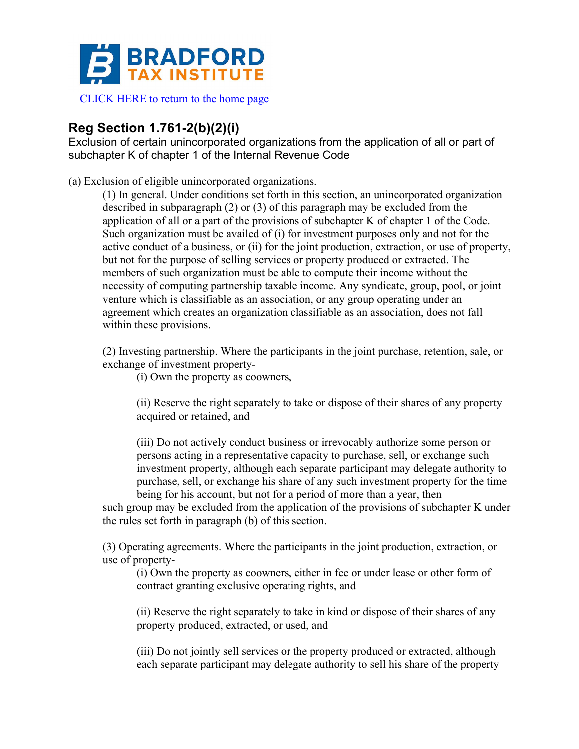

[CLICK HERE to return to the home page](www.bradfordtaxinstitute.com)

## **Reg Section 1.761-2(b)(2)(i)**

Exclusion of certain unincorporated organizations from the application of all or part of subchapter K of chapter 1 of the Internal Revenue Code

(a) Exclusion of eligible unincorporated organizations.

(1) In general. Under conditions set forth in this section, an unincorporated organization described in subparagraph (2) or (3) of this paragraph may be excluded from the application of all or a part of the provisions of subchapter K of chapter 1 of the Code. Such organization must be availed of (i) for investment purposes only and not for the active conduct of a business, or (ii) for the joint production, extraction, or use of property, but not for the purpose of selling services or property produced or extracted. The members of such organization must be able to compute their income without the necessity of computing partnership taxable income. Any syndicate, group, pool, or joint venture which is classifiable as an association, or any group operating under an agreement which creates an organization classifiable as an association, does not fall within these provisions.

(2) Investing partnership. Where the participants in the joint purchase, retention, sale, or exchange of investment property-

(i) Own the property as coowners,

(ii) Reserve the right separately to take or dispose of their shares of any property acquired or retained, and

(iii) Do not actively conduct business or irrevocably authorize some person or persons acting in a representative capacity to purchase, sell, or exchange such investment property, although each separate participant may delegate authority to purchase, sell, or exchange his share of any such investment property for the time being for his account, but not for a period of more than a year, then

such group may be excluded from the application of the provisions of subchapter K under the rules set forth in paragraph (b) of this section.

(3) Operating agreements. Where the participants in the joint production, extraction, or use of property-

(i) Own the property as coowners, either in fee or under lease or other form of contract granting exclusive operating rights, and

(ii) Reserve the right separately to take in kind or dispose of their shares of any property produced, extracted, or used, and

(iii) Do not jointly sell services or the property produced or extracted, although each separate participant may delegate authority to sell his share of the property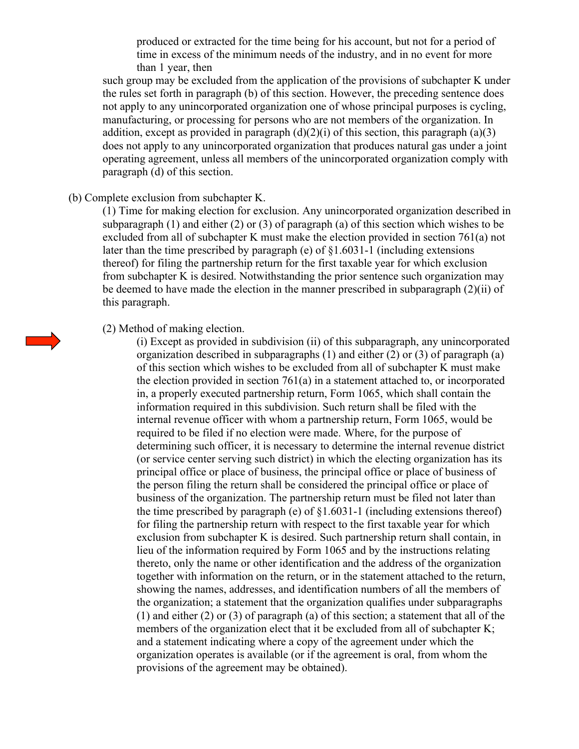produced or extracted for the time being for his account, but not for a period of time in excess of the minimum needs of the industry, and in no event for more than 1 year, then

such group may be excluded from the application of the provisions of subchapter K under the rules set forth in paragraph (b) of this section. However, the preceding sentence does not apply to any unincorporated organization one of whose principal purposes is cycling, manufacturing, or processing for persons who are not members of the organization. In addition, except as provided in paragraph  $(d)(2)(i)$  of this section, this paragraph  $(a)(3)$ does not apply to any unincorporated organization that produces natural gas under a joint operating agreement, unless all members of the unincorporated organization comply with paragraph (d) of this section.

## (b) Complete exclusion from subchapter K.

(1) Time for making election for exclusion. Any unincorporated organization described in subparagraph (1) and either (2) or (3) of paragraph (a) of this section which wishes to be excluded from all of subchapter K must make the election provided in section 761(a) not later than the time prescribed by paragraph (e) of §1.6031-1 (including extensions thereof) for filing the partnership return for the first taxable year for which exclusion from subchapter K is desired. Notwithstanding the prior sentence such organization may be deemed to have made the election in the manner prescribed in subparagraph (2)(ii) of this paragraph.

## (2) Method of making election.

(i) Except as provided in subdivision (ii) of this subparagraph, any unincorporated organization described in subparagraphs (1) and either (2) or (3) of paragraph (a) of this section which wishes to be excluded from all of subchapter K must make the election provided in section 761(a) in a statement attached to, or incorporated in, a properly executed partnership return, Form 1065, which shall contain the information required in this subdivision. Such return shall be filed with the internal revenue officer with whom a partnership return, Form 1065, would be required to be filed if no election were made. Where, for the purpose of determining such officer, it is necessary to determine the internal revenue district (or service center serving such district) in which the electing organization has its principal office or place of business, the principal office or place of business of the person filing the return shall be considered the principal office or place of business of the organization. The partnership return must be filed not later than the time prescribed by paragraph (e) of  $\S1.6031$ -1 (including extensions thereof) for filing the partnership return with respect to the first taxable year for which exclusion from subchapter K is desired. Such partnership return shall contain, in lieu of the information required by Form 1065 and by the instructions relating thereto, only the name or other identification and the address of the organization together with information on the return, or in the statement attached to the return, showing the names, addresses, and identification numbers of all the members of the organization; a statement that the organization qualifies under subparagraphs (1) and either (2) or (3) of paragraph (a) of this section; a statement that all of the members of the organization elect that it be excluded from all of subchapter K; and a statement indicating where a copy of the agreement under which the organization operates is available (or if the agreement is oral, from whom the provisions of the agreement may be obtained).